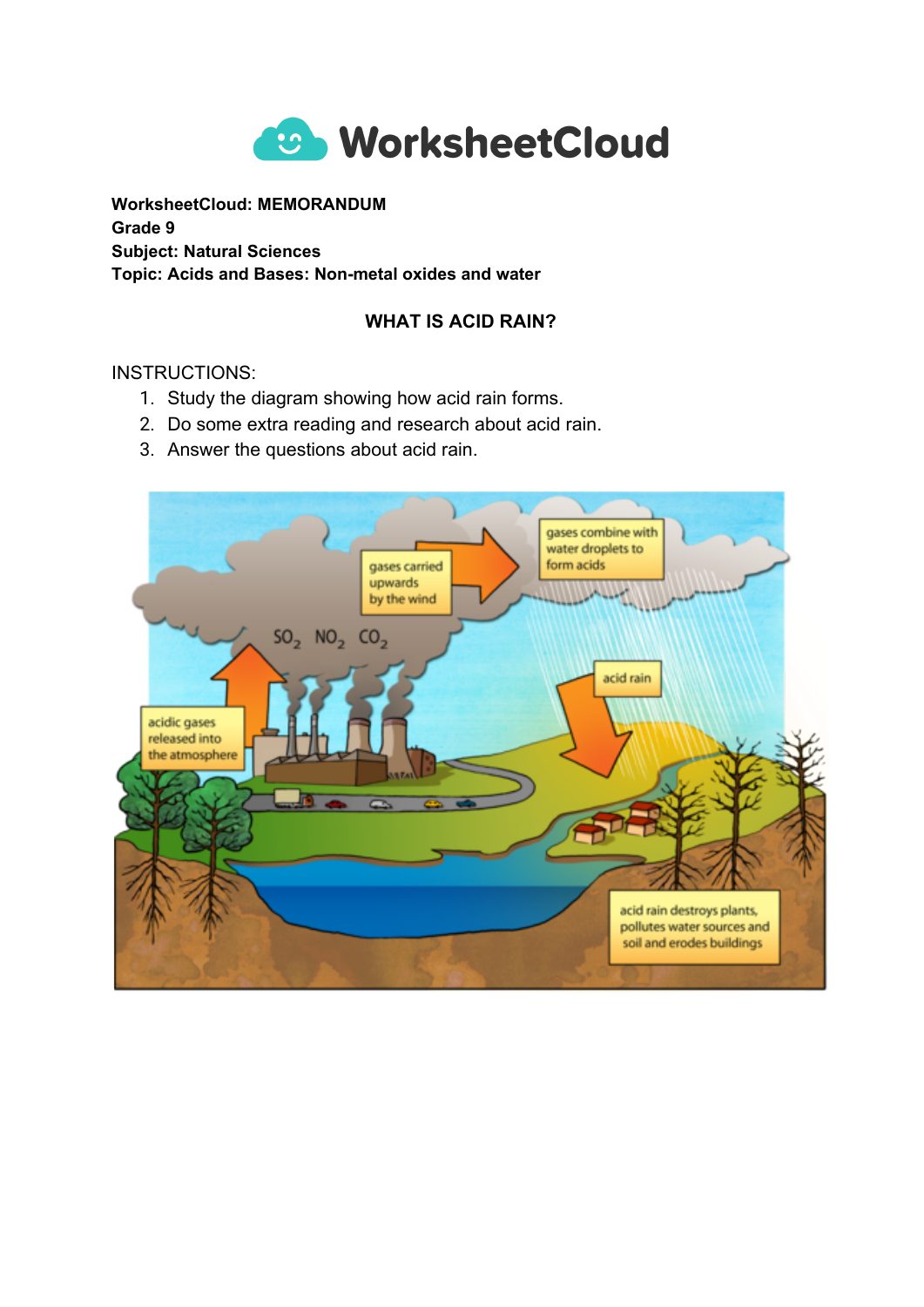

**WorksheetCloud: MEMORANDUM Grade 9 Subject: Natural Sciences Topic: Acids and Bases: Non-metal oxides and water**

## **WHAT IS ACID RAIN?**

INSTRUCTIONS:

- 1. Study the diagram showing how acid rain forms.
- 2. Do some extra reading and research about acid rain.
- 3. Answer the questions about acid rain.

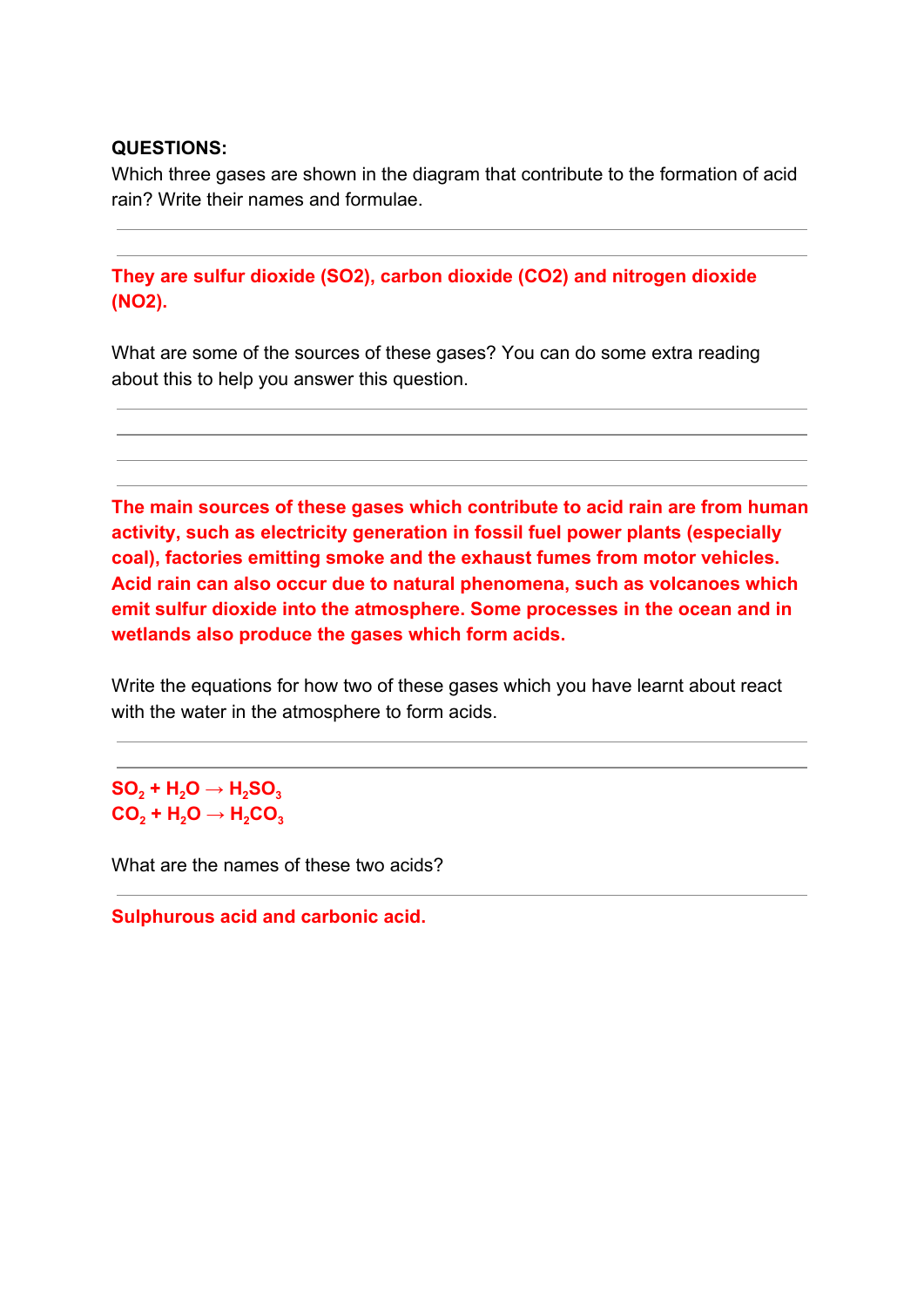## **QUESTIONS:**

Which three gases are shown in the diagram that contribute to the formation of acid rain? Write their names and formulae.

**They are sulfur dioxide (SO2), carbon dioxide (CO2) and nitrogen dioxide (NO2).**

What are some of the sources of these gases? You can do some extra reading about this to help you answer this question.

**The main sources of these gases which contribute to acid rain are from human activity, such as electricity generation in fossil fuel power plants (especially coal), factories emitting smoke and the exhaust fumes from motor vehicles. Acid rain can also occur due to natural phenomena, such as volcanoes which emit sulfur dioxide into the atmosphere. Some processes in the ocean and in wetlands also produce the gases which form acids.**

Write the equations for how two of these gases which you have learnt about react with the water in the atmosphere to form acids.

 $\mathbf{SO}_{2} + \mathbf{H}_{2}\mathbf{O} \rightarrow \mathbf{H}_{2}\mathbf{SO}_{3}$  $\mathsf{CO_2} + \mathsf{H_2O} \rightarrow \mathsf{H_2CO_3}$ 

What are the names of these two acids?

**Sulphurous acid and carbonic acid.**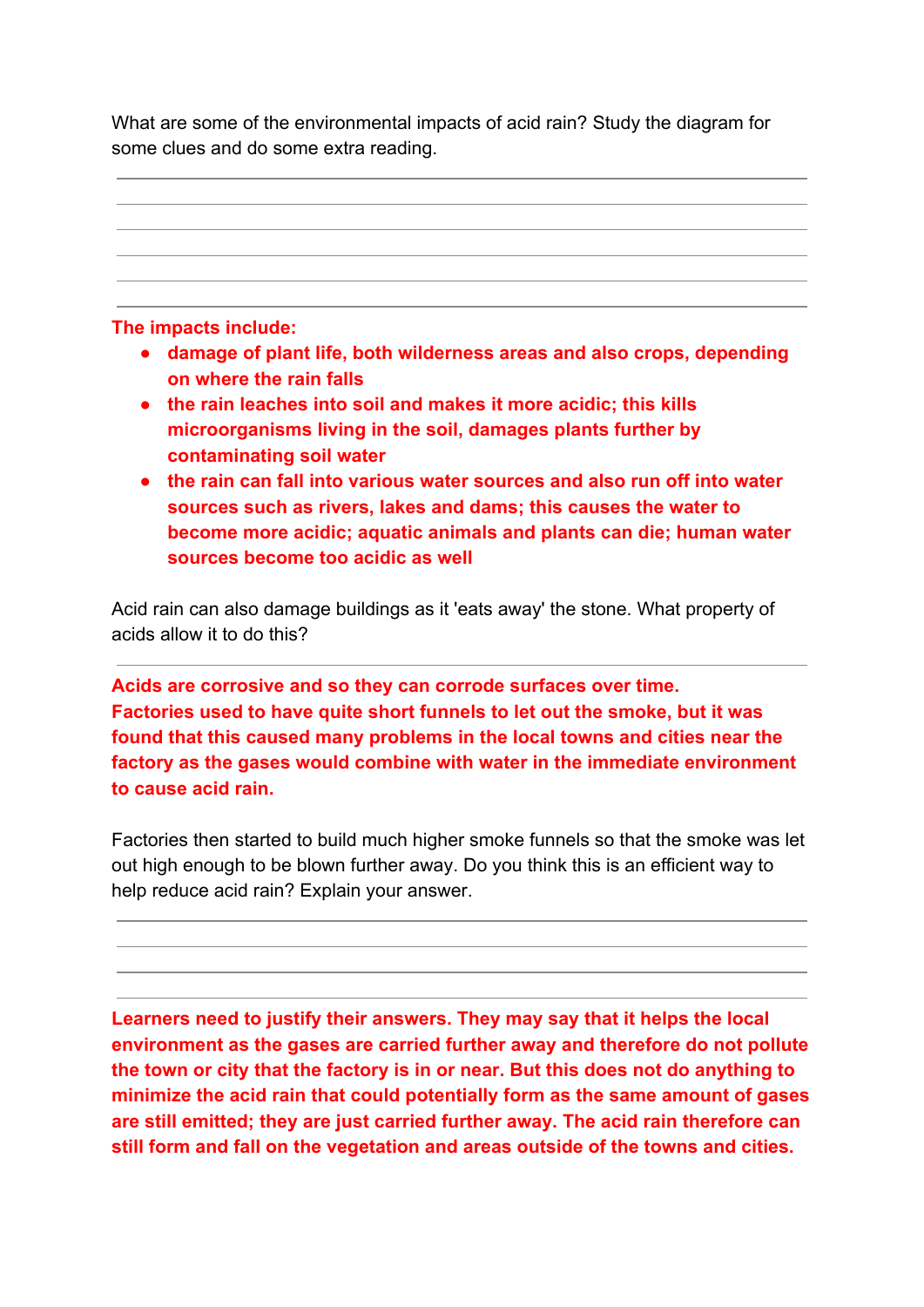What are some of the environmental impacts of acid rain? Study the diagram for some clues and do some extra reading.



**The impacts include:**

- **● damage of plant life, both wilderness areas and also crops, depending on where the rain falls**
- **● the rain leaches into soil and makes it more acidic; this kills microorganisms living in the soil, damages plants further by contaminating soil water**
- **● the rain can fall into various water sources and also run off into water sources such as rivers, lakes and dams; this causes the water to become more acidic; aquatic animals and plants can die; human water sources become too acidic as well**

Acid rain can also damage buildings as it 'eats away' the stone. What property of acids allow it to do this?

**Acids are corrosive and so they can corrode surfaces over time. Factories used to have quite short funnels to let out the smoke, but it was found that this caused many problems in the local towns and cities near the factory as the gases would combine with water in the immediate environment to cause acid rain.**

Factories then started to build much higher smoke funnels so that the smoke was let out high enough to be blown further away. Do you think this is an efficient way to help reduce acid rain? Explain your answer.

**Learners need to justify their answers. They may say that it helps the local environment as the gases are carried further away and therefore do not pollute the town or city that the factory is in or near. But this does not do anything to minimize the acid rain that could potentially form as the same amount of gases are still emitted; they are just carried further away. The acid rain therefore can still form and fall on the vegetation and areas outside of the towns and cities.**